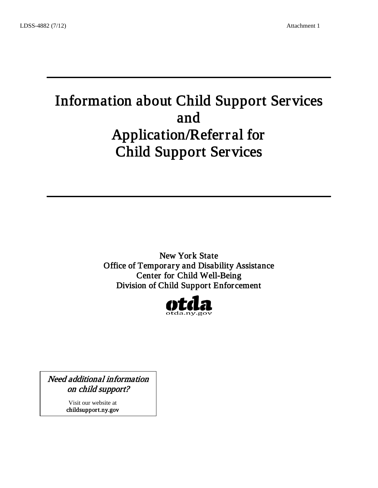# Information about Child Support Services and Application/Referral for Child Support Services

 $\overline{\phantom{a}}$  , and the contract of the contract of the contract of the contract of the contract of the contract of the contract of the contract of the contract of the contract of the contract of the contract of the contrac

\_\_\_\_\_\_\_\_\_\_\_\_\_\_\_\_\_\_\_\_\_\_\_\_\_\_\_\_\_\_\_\_\_\_\_\_\_\_\_\_\_\_\_\_\_\_

New York State Office of Temporary and Disability Assistance Center for Child Well-Being Division of Child Support Enforcement



Need additional information on child support?

> Visit our website at childsupport.ny.gov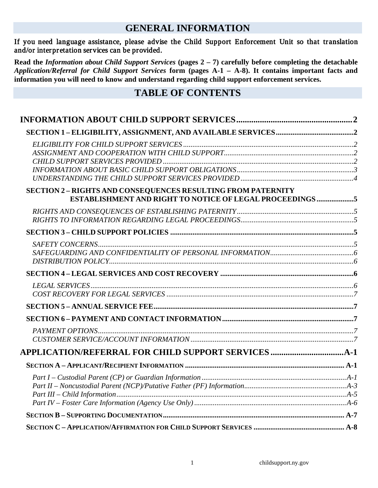# **GENERAL INFORMATION**

#### If you need language assistance, please advise the Child Support Enforcement Unit so that translation and/or interpretation services can be provided.

**Read the** *Information about Child Support Services* **(pages 2 – 7) carefully before completing the detachable**  *Application/Referral for Child Support Services* **form (pages A-1 – A-8). It contains important facts and information you will need to know and understand regarding child support enforcement services.**

# **TABLE OF CONTENTS**

| <b>SECTION 2 – RIGHTS AND CONSEQUENCES RESULTING FROM PATERNITY</b><br>ESTABLISHMENT AND RIGHT TO NOTICE OF LEGAL PROCEEDINGS 5 |  |
|---------------------------------------------------------------------------------------------------------------------------------|--|
|                                                                                                                                 |  |
|                                                                                                                                 |  |
|                                                                                                                                 |  |
|                                                                                                                                 |  |
|                                                                                                                                 |  |
|                                                                                                                                 |  |
|                                                                                                                                 |  |
|                                                                                                                                 |  |
|                                                                                                                                 |  |
|                                                                                                                                 |  |
|                                                                                                                                 |  |
|                                                                                                                                 |  |
|                                                                                                                                 |  |
|                                                                                                                                 |  |
|                                                                                                                                 |  |
|                                                                                                                                 |  |
|                                                                                                                                 |  |
|                                                                                                                                 |  |
|                                                                                                                                 |  |
|                                                                                                                                 |  |
|                                                                                                                                 |  |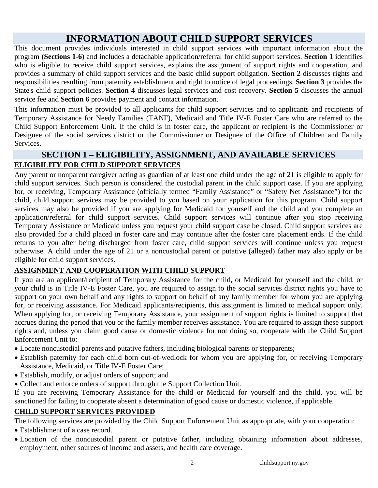# **INFORMATION ABOUT CHILD SUPPORT SERVICES**

<span id="page-2-0"></span>This document provides individuals interested in child support services with important information about the program **(Sections 1-6)** and includes a detachable application/referral for child support services. **Section 1** identifies who is eligible to receive child support services, explains the assignment of support rights and cooperation, and provides a summary of child support services and the basic child support obligation. **Section 2** discusses rights and responsibilities resulting from paternity establishment and right to notice of legal proceedings. **Section 3** provides the State's child support policies. **Section 4** discusses legal services and cost recovery. **Section 5** discusses the annual service fee and **Section 6** provides payment and contact information.

This information must be provided to all applicants for child support services and to applicants and recipients of Temporary Assistance for Needy Families (TANF), Medicaid and Title IV-E Foster Care who are referred to the Child Support Enforcement Unit. If the child is in foster care, the applicant or recipient is the Commissioner or Designee of the social services district or the Commissioner or Designee of the Office of Children and Family Services.

# <span id="page-2-2"></span><span id="page-2-1"></span>**SECTION 1 – ELIGIBILITY, ASSIGNMENT, AND AVAILABLE SERVICES ELIGIBILITY FOR CHILD SUPPORT SERVICES**

Any parent or nonparent caregiver acting as guardian of at least one child under the age of 21 is eligible to apply for child support services. Such person is considered the custodial parent in the child support case. If you are applying for, or receiving, Temporary Assistance (officially termed "Family Assistance" or "Safety Net Assistance") for the child, child support services may be provided to you based on your application for this program. Child support services may also be provided if you are applying for Medicaid for yourself and the child and you complete an application/referral for child support services. Child support services will continue after you stop receiving Temporary Assistance or Medicaid unless you request your child support case be closed. Child support services are also provided for a child placed in foster care and may continue after the foster care placement ends. If the child returns to you after being discharged from foster care, child support services will continue unless you request otherwise. A child under the age of 21 or a noncustodial parent or putative (alleged) father may also apply or be eligible for child support services.

#### <span id="page-2-3"></span>**ASSIGNMENT AND COOPERATION WITH CHILD SUPPORT**

If you are an applicant/recipient of Temporary Assistance for the child, or Medicaid for yourself and the child, or your child is in Title IV-E Foster Care, you are required to assign to the social services district rights you have to support on your own behalf and any rights to support on behalf of any family member for whom you are applying for, or receiving assistance. For Medicaid applicants/recipients, this assignment is limited to medical support only. When applying for, or receiving Temporary Assistance, your assignment of support rights is limited to support that accrues during the period that you or the family member receives assistance. You are required to assign these support rights and, unless you claim good cause or domestic violence for not doing so, cooperate with the Child Support Enforcement Unit to:

- Locate noncustodial parents and putative fathers, including biological parents or stepparents; 2
- Establish paternity for each child born out-of-wedlock for whom you are applying for, or receiving Temporary Assistance, Medicaid, or Title IV-E Foster Care;
- Establish, modify, or adjust orders of support; and
- Collect and enforce orders of support through the Support Collection Unit.

If you are receiving Temporary Assistance for the child or Medicaid for yourself and the child, you will be sanctioned for failing to cooperate absent a determination of good cause or domestic violence, if applicable.

#### <span id="page-2-4"></span>**CHILD SUPPORT SERVICES PROVIDED**

The following services are provided by the Child Support Enforcement Unit as appropriate, with your cooperation:

- Establishment of a case record.
- Location of the noncustodial parent or putative father, including obtaining information about addresses, employment, other sources of income and assets, and health care coverage.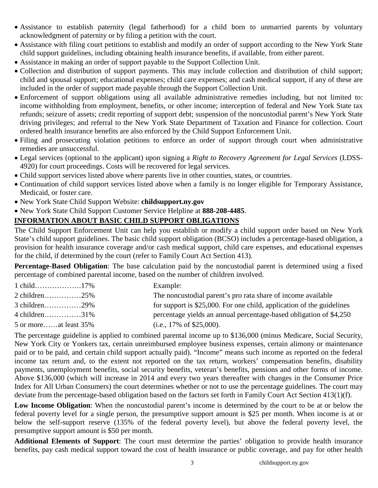- Assistance to establish paternity (legal fatherhood) for a child born to unmarried parents by voluntary acknowledgment of paternity or by filing a petition with the court.
- Assistance with filing court petitions to establish and modify an order of support according to the New York State child support guidelines, including obtaining health insurance benefits, if available, from either parent.
- Assistance in making an order of support payable to the Support Collection Unit.
- Collection and distribution of support payments. This may include collection and distribution of child support; child and spousal support; educational expenses; child care expenses; and cash medical support, if any of these are included in the order of support made payable through the Support Collection Unit.
- Enforcement of support obligations using all available administrative remedies including, but not limited to: income withholding from employment, benefits, or other income; interception of federal and New York State tax refunds; seizure of assets; credit reporting of support debt; suspension of the noncustodial parent's New York State driving privileges; and referral to the New York State Department of Taxation and Finance for collection. Court ordered health insurance benefits are also enforced by the Child Support Enforcement Unit.
- Filing and prosecuting violation petitions to enforce an order of support through court when administrative remedies are unsuccessful.
- Legal services (optional to the applicant) upon signing a *Right to Recovery Agreement for Legal Services* (LDSS-4920) for court proceedings. Costs will be recovered for legal services.
- Child support services listed above where parents live in other counties, states, or countries.
- Continuation of child support services listed above when a family is no longer eligible for Temporary Assistance, Medicaid, or foster care.
- New York State Child Support Website: **childsupport.ny.gov**
- New York State Child Support Customer Service Helpline at **888-208-4485**.

#### <span id="page-3-0"></span>**INFORMATION ABOUT BASIC CHILD SUPPORT OBLIGATIONS**

The Child Support Enforcement Unit can help you establish or modify a child support order based on New York State's child support guidelines. The basic child support obligation (BCSO) includes a percentage-based obligation, a provision for health insurance coverage and/or cash medical support, child care expenses, and educational expenses for the child, if determined by the court (refer to Family Court Act Section 413).

**Percentage-Based Obligation**: The base calculation paid by the noncustodial parent is determined using a fixed percentage of combined parental income, based on the number of children involved.

|                          | Example:                                                              |
|--------------------------|-----------------------------------------------------------------------|
| 2 children25%            | The noncustodial parent's pro rata share of income available          |
| $3$ children29%          | for support is \$25,000. For one child, application of the guidelines |
| 4 children31%            | percentage yields an annual percentage-based obligation of \$4,250    |
| 5 or moreat least $35\%$ | (i.e., $17\%$ of \$25,000).                                           |

The percentage guideline is applied to combined parental income up to \$136,000 (minus Medicare, Social Security, New York City or Yonkers tax, certain unreimbursed employee business expenses, certain alimony or maintenance paid or to be paid, and certain child support actually paid). "Income" means such income as reported on the federal income tax return and, to the extent not reported on the tax return, workers' compensation benefits, disability payments, unemployment benefits, social security benefits, veteran's benefits, pensions and other forms of income. Above \$136,000 (which will increase in 2014 and every two years thereafter with changes in the Consumer Price Index for All Urban Consumers) the court determines whether or not to use the percentage guidelines. The court may deviate from the percentage-based obligation based on the factors set forth in Family Court Act Section 413(1)(f).

**Low Income Obligation**: When the noncustodial parent's income is determined by the court to be at or below the federal poverty level for a single person, the presumptive support amount is \$25 per month. When income is at or below the self-support reserve (135% of the federal poverty level), but above the federal poverty level, the presumptive support amount is \$50 per month.

**Additional Elements of Support**: The court must determine the parties' obligation to provide health insurance benefits, pay cash medical support toward the cost of health insurance or public coverage, and pay for other health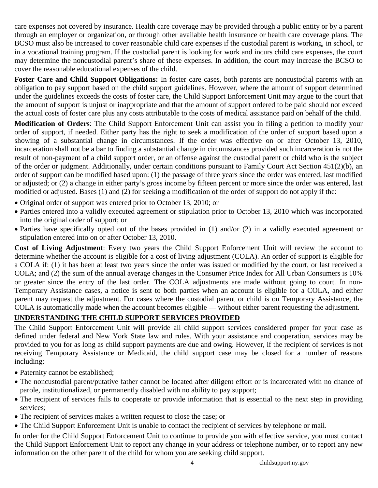care expenses not covered by insurance. Health care coverage may be provided through a public entity or by a parent through an employer or organization, or through other available health insurance or health care coverage plans. The BCSO must also be increased to cover reasonable child care expenses if the custodial parent is working, in school, or in a vocational training program. If the custodial parent is looking for work and incurs child care expenses, the court may determine the noncustodial parent's share of these expenses. In addition, the court may increase the BCSO to cover the reasonable educational expenses of the child.

**Foster Care and Child Support Obligations:** In foster care cases, both parents are noncustodial parents with an obligation to pay support based on the child support guidelines. However, where the amount of support determined under the guidelines exceeds the costs of foster care, the Child Support Enforcement Unit may argue to the court that the amount of support is unjust or inappropriate and that the amount of support ordered to be paid should not exceed the actual costs of foster care plus any costs attributable to the costs of medical assistance paid on behalf of the child.

**Modification of Orders**: The Child Support Enforcement Unit can assist you in filing a petition to modify your order of support, if needed. Either party has the right to seek a modification of the order of support based upon a showing of a substantial change in circumstances. If the order was effective on or after October 13, 2010, incarceration shall not be a bar to finding a substantial change in circumstances provided such incarceration is not the result of non-payment of a child support order, or an offense against the custodial parent or child who is the subject of the order or judgment. Additionally, under certain conditions pursuant to Family Court Act Section 451(2)(b), an order of support can be modified based upon: (1) the passage of three years since the order was entered, last modified or adjusted; or (2) a change in either party's gross income by fifteen percent or more since the order was entered, last modified or adjusted. Bases (1) and (2) for seeking a modification of the order of support do not apply if the:

- Original order of support was entered prior to October 13, 2010; or
- Parties entered into a validly executed agreement or stipulation prior to October 13, 2010 which was incorporated into the original order of support; or
- Parties have specifically opted out of the bases provided in (1) and/or (2) in a validly executed agreement or stipulation entered into on or after October 13, 2010.

**Cost of Living Adjustment**: Every two years the Child Support Enforcement Unit will review the account to determine whether the account is eligible for a cost of living adjustment (COLA). An order of support is eligible for a COLA if: (1) it has been at least two years since the order was issued or modified by the court, or last received a COLA; and (2) the sum of the annual average changes in the Consumer Price Index for All Urban Consumers is 10% or greater since the entry of the last order. The COLA adjustments are made without going to court. In non-Temporary Assistance cases, a notice is sent to both parties when an account is eligible for a COLA, and either parent may request the adjustment. For cases where the custodial parent or child is on Temporary Assistance, the COLA is automatically made when the account becomes eligible — without either parent requesting the adjustment.

#### <span id="page-4-0"></span>**UNDERSTANDING THE CHILD SUPPORT SERVICES PROVIDED**

The Child Support Enforcement Unit will provide all child support services considered proper for your case as defined under federal and New York State law and rules. With your assistance and cooperation, services may be provided to you for as long as child support payments are due and owing. However, if the recipient of services is not receiving Temporary Assistance or Medicaid, the child support case may be closed for a number of reasons including:

- Paternity cannot be established;
- The noncustodial parent/putative father cannot be located after diligent effort or is incarcerated with no chance of parole, institutionalized, or permanently disabled with no ability to pay support;
- The recipient of services fails to cooperate or provide information that is essential to the next step in providing services;
- The recipient of services makes a written request to close the case; or
- The Child Support Enforcement Unit is unable to contact the recipient of services by telephone or mail.

In order for the Child Support Enforcement Unit to continue to provide you with effective service, you must contact the Child Support Enforcement Unit to report any change in your address or telephone number, or to report any new information on the other parent of the child for whom you are seeking child support.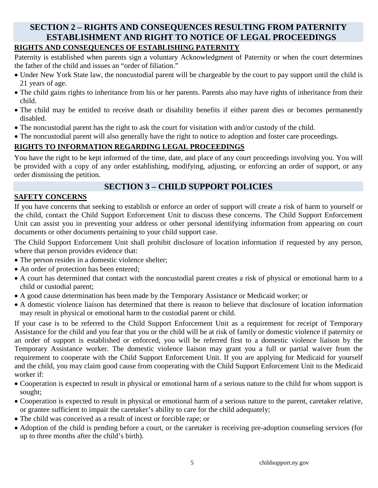## <span id="page-5-0"></span>**SECTION 2 – RIGHTS AND CONSEQUENCES RESULTING FROM PATERNITY ESTABLISHMENT AND RIGHT TO NOTICE OF LEGAL PROCEEDINGS RIGHTS AND CONSEQUENCES OF ESTABLISHING PATERNITY**

#### <span id="page-5-1"></span>Paternity is established when parents sign a voluntary Acknowledgment of Paternity or when the court determines the father of the child and issues an "order of filiation."

- Under New York State law, the noncustodial parent will be chargeable by the court to pay support until the child is 21 years of age.
- The child gains rights to inheritance from his or her parents. Parents also may have rights of inheritance from their child.
- The child may be entitled to receive death or disability benefits if either parent dies or becomes permanently disabled.
- The noncustodial parent has the right to ask the court for visitation with and/or custody of the child.
- The noncustodial parent will also generally have the right to notice to adoption and foster care proceedings.

## <span id="page-5-2"></span>**RIGHTS TO INFORMATION REGARDING LEGAL PROCEEDINGS**

You have the right to be kept informed of the time, date, and place of any court proceedings involving you. You will be provided with a copy of any order establishing, modifying, adjusting, or enforcing an order of support, or any order dismissing the petition.

## **SECTION 3 – CHILD SUPPORT POLICIES**

### <span id="page-5-4"></span><span id="page-5-3"></span>**SAFETY CONCERNS**

If you have concerns that seeking to establish or enforce an order of support will create a risk of harm to yourself or the child, contact the Child Support Enforcement Unit to discuss these concerns. The Child Support Enforcement Unit can assist you in preventing your address or other personal identifying information from appearing on court documents or other documents pertaining to your child support case.

The Child Support Enforcement Unit shall prohibit disclosure of location information if requested by any person, where that person provides evidence that:

- The person resides in a domestic violence shelter;
- An order of protection has been entered;
- A court has determined that contact with the noncustodial parent creates a risk of physical or emotional harm to a child or custodial parent;
- A good cause determination has been made by the Temporary Assistance or Medicaid worker; or
- A domestic violence liaison has determined that there is reason to believe that disclosure of location information may result in physical or emotional harm to the custodial parent or child.

If your case is to be referred to the Child Support Enforcement Unit as a requirement for receipt of Temporary Assistance for the child and you fear that you or the child will be at risk of family or domestic violence if paternity or an order of support is established or enforced, you will be referred first to a domestic violence liaison by the Temporary Assistance worker. The domestic violence liaison may grant you a full or partial waiver from the requirement to cooperate with the Child Support Enforcement Unit. If you are applying for Medicaid for yourself and the child, you may claim good cause from cooperating with the Child Support Enforcement Unit to the Medicaid worker if:

- Cooperation is expected to result in physical or emotional harm of a serious nature to the child for whom support is sought;
- Cooperation is expected to result in physical or emotional harm of a serious nature to the parent, caretaker relative, or grantee sufficient to impair the caretaker's ability to care for the child adequately;
- The child was conceived as a result of incest or forcible rape; or
- Adoption of the child is pending before a court, or the caretaker is receiving pre-adoption counseling services (for up to three months after the child's birth).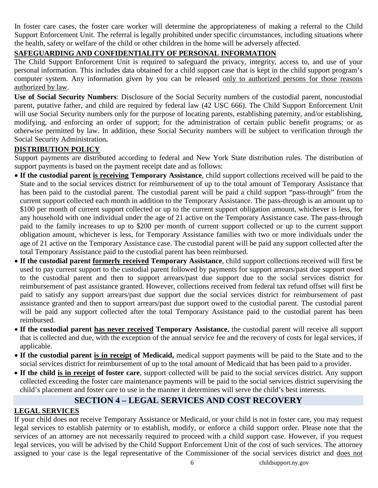In foster care cases, the foster care worker will determine the appropriateness of making a referral to the Child Support Enforcement Unit. The referral is legally prohibited under specific circumstances, including situations where the health, safety or welfare of the child or other children in the home will be adversely affected.

#### <span id="page-6-0"></span>**SAFEGUARDING AND CONFIDENTIALITY OF PERSONAL INFORMATION**

The Child Support Enforcement Unit is required to safeguard the privacy, integrity, access to, and use of your personal information. This includes data obtained for a child support case that is kept in the child support program's computer system. Any information given by you can be released only to authorized persons for those reasons authorized by law.

**Use of Social Security Numbers**: Disclosure of the Social Security numbers of the custodial parent, noncustodial parent, putative father, and child are required by federal law (42 USC 666). The Child Support Enforcement Unit will use Social Security numbers only for the purpose of locating parents, establishing paternity, and/or establishing, modifying, and enforcing an order of support; for the administration of certain public benefit programs; or as otherwise permitted by law. In addition, these Social Security numbers will be subject to verification through the Social Security Administration**.**

#### <span id="page-6-1"></span>**DISTRIBUTION POLICY**

Support payments are distributed according to federal and New York State distribution rules. The distribution of support payments is based on the payment receipt date and as follows:

- **If the custodial parent is receiving Temporary Assistance**, child support collections received will be paid to the State and to the social services district for reimbursement of up to the total amount of Temporary Assistance that has been paid to the custodial parent. The custodial parent will be paid a child support "pass-through" from the current support collected each month in addition to the Temporary Assistance. The pass-through is an amount up to \$100 per month of current support collected or up to the current support obligation amount, whichever is less, for any household with one individual under the age of 21 active on the Temporary Assistance case. The pass-through paid to the family increases to up to \$200 per month of current support collected or up to the current support obligation amount, whichever is less, for Temporary Assistance families with two or more individuals under the age of 21 active on the Temporary Assistance case. The custodial parent will be paid any support collected after the total Temporary Assistance paid to the custodial parent has been reimbursed.
- **If the custodial parent formerly received Temporary Assistance**, child support collections received will first be used to pay current support to the custodial parent followed by payments for support arrears/past due support owed to the custodial parent and then to support arrears/past due support due to the social services district for reimbursement of past assistance granted. However, collections received from federal tax refund offset will first be paid to satisfy any support arrears/past due support due the social services district for reimbursement of past assistance granted and then to support arrears/past due support owed to the custodial parent. The custodial parent will be paid any support collected after the total Temporary Assistance paid to the custodial parent has been reimbursed.
- **If the custodial parent has never received Temporary Assistance**, the custodial parent will receive all support that is collected and due, with the exception of the annual service fee and the recovery of costs for legal services, if applicable.
- **If the custodial parent is in receipt of Medicaid,** medical support payments will be paid to the State and to the social services district for reimbursement of up to the total amount of Medicaid that has been paid to a provider.
- **If the child is in receipt of foster care**, support collected will be paid to the social services district. Any support collected exceeding the foster care maintenance payments will be paid to the social services district supervising the child's placement and foster care to use in the manner it determines will serve the child's best interests.

## **SECTION 4 – LEGAL SERVICES AND COST RECOVERY**

#### <span id="page-6-3"></span><span id="page-6-2"></span>**LEGAL SERVICES**

If your child does not receive Temporary Assistance or Medicaid, or your child is not in foster care, you may request legal services to establish paternity or to establish, modify, or enforce a child support order. Please note that the services of an attorney are not necessarily required to proceed with a child support case. However, if you request legal services, you will be advised by the Child Support Enforcement Unit of the cost of such services. The attorney assigned to your case is the legal representative of the Commissioner of the social services district and does not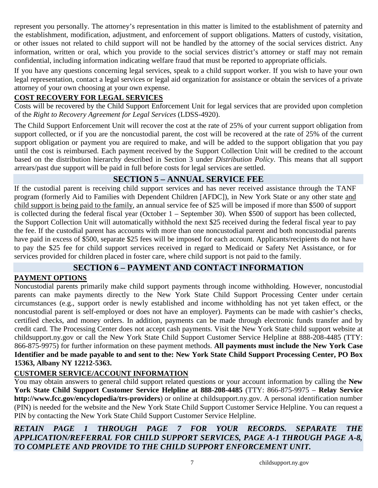represent you personally. The attorney's representation in this matter is limited to the establishment of paternity and the establishment, modification, adjustment, and enforcement of support obligations. Matters of custody, visitation, or other issues not related to child support will not be handled by the attorney of the social services district. Any information, written or oral, which you provide to the social services district's attorney or staff may not remain confidential, including information indicating welfare fraud that must be reported to appropriate officials.

If you have any questions concerning legal services, speak to a child support worker. If you wish to have your own legal representation, contact a legal services or legal aid organization for assistance or obtain the services of a private attorney of your own choosing at your own expense.

#### <span id="page-7-0"></span>**COST RECOVERY FOR LEGAL SERVICES**

Costs will be recovered by the Child Support Enforcement Unit for legal services that are provided upon completion of the *Right to Recovery Agreement for Legal Services* (LDSS-4920).

The Child Support Enforcement Unit will recover the cost at the rate of 25% of your current support obligation from support collected, or if you are the noncustodial parent, the cost will be recovered at the rate of 25% of the current support obligation or payment you are required to make, and will be added to the support obligation that you pay until the cost is reimbursed. Each payment received by the Support Collection Unit will be credited to the account based on the distribution hierarchy described in Section 3 under *Distribution Policy*. This means that all support arrears/past due support will be paid in full before costs for legal services are settled.

## **SECTION 5 – ANNUAL SERVICE FEE**

<span id="page-7-1"></span>If the custodial parent is receiving child support services and has never received assistance through the TANF program (formerly Aid to Families with Dependent Children [AFDC]), in New York State or any other state and child support is being paid to the family , an annual service fee of \$25 will be imposed if more than \$500 of support is collected during the federal fiscal year (October 1 – September 30). When \$500 of support has been collected, the Support Collection Unit will automatically withhold the next \$25 received during the federal fiscal year to pay the fee. If the custodial parent has accounts with more than one noncustodial parent and both noncustodial parents have paid in excess of \$500, separate \$25 fees will be imposed for each account. Applicants/recipients do not have to pay the \$25 fee for child support services received in regard to Medicaid or Safety Net Assistance, or for services provided for children placed in foster care, where child support is not paid to the family.

## **SECTION 6 – PAYMENT AND CONTACT INFORMATION**

#### <span id="page-7-3"></span><span id="page-7-2"></span>**PAYMENT OPTIONS**

Noncustodial parents primarily make child support payments through income withholding. However, noncustodial parents can make payments directly to the New York State Child Support Processing Center under certain circumstances (e.g., support order is newly established and income withholding has not yet taken effect, or the noncustodial parent is self-employed or does not have an employer). Payments can be made with cashier's checks, certified checks, and money orders. In addition, payments can be made through electronic funds transfer and by credit card. The Processing Center does not accept cash payments. Visit the New York State child support website at childsupport.ny.gov or call the New York State Child Support Customer Service Helpline at 888-208-4485 (TTY: 866-875-9975) for further information on these payment methods. **All payments must include the New York Case Identifier and be made payable to and sent to the: New York State Child Support Processing Center, PO Box 15363, Albany NY 12212-5363.**

## <span id="page-7-4"></span>**CUSTOMER SERVICE/ACCOUNT INFORMATION**

You may obtain answers to general child support related questions or your account information by calling the **New York State Child Support Customer Service Helpline at 888-208-4485** (TTY: 866-875-9975 – **Relay Service http://www.fcc.gov/encyclopedia/trs-providers**) or online at childsupport.ny.gov. A personal identification number (PIN) is needed for the website and the New York State Child Support Customer Service Helpline. You can request a PIN by contacting the New York State Child Support Customer Service Helpline.

*RETAIN PAGE 1 THROUGH PAGE 7 FOR YOUR RECORDS. SEPARATE THE APPLICATION/REFERRAL FOR CHILD SUPPORT SERVICES, PAGE A-1 THROUGH PAGE A-8, TO COMPLETE AND PROVIDE TO THE CHILD SUPPORT ENFORCEMENT UNIT.*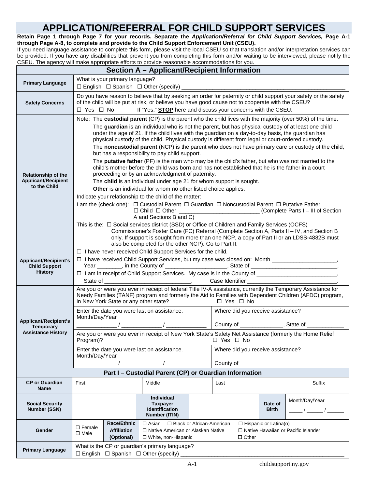# **APPLICATION/REFERRAL FOR CHILD SUPPORT SERVICES**

<span id="page-8-0"></span>**Retain Page 1 through Page 7 for your records. Separate the** *Application/Referral for Child Support Services,* **Page A-1 through Page A-8, to complete and provide to the Child Support Enforcement Unit (CSEU).**

If you need language assistance to complete this form, please visit the local CSEU so that translation and/or interpretation services can be provided. If you have any disabilities that prevent you from completing this form and/or waiting to be interviewed, please notify the CSEU. The agency will make appropriate efforts to provide reasonable accommodations for you.

<span id="page-8-2"></span><span id="page-8-1"></span>

| Section A - Applicant/Recipient Information                            |                                                                                                                                                                                                                                                                                                                                                                                                                                                                                                                                                                                                                                                                                                                                                                                                                                                                                                                                                                                                                                                                                                                                                                                                                                                                                                                                                                                                                                                                                                                                                                                                                                 |                                                                                                                                                                                                                                                                                            |  |                                                            |                                                                                                         |                                                                                                        |  |  |  |
|------------------------------------------------------------------------|---------------------------------------------------------------------------------------------------------------------------------------------------------------------------------------------------------------------------------------------------------------------------------------------------------------------------------------------------------------------------------------------------------------------------------------------------------------------------------------------------------------------------------------------------------------------------------------------------------------------------------------------------------------------------------------------------------------------------------------------------------------------------------------------------------------------------------------------------------------------------------------------------------------------------------------------------------------------------------------------------------------------------------------------------------------------------------------------------------------------------------------------------------------------------------------------------------------------------------------------------------------------------------------------------------------------------------------------------------------------------------------------------------------------------------------------------------------------------------------------------------------------------------------------------------------------------------------------------------------------------------|--------------------------------------------------------------------------------------------------------------------------------------------------------------------------------------------------------------------------------------------------------------------------------------------|--|------------------------------------------------------------|---------------------------------------------------------------------------------------------------------|--------------------------------------------------------------------------------------------------------|--|--|--|
| <b>Primary Language</b>                                                | What is your primary language?                                                                                                                                                                                                                                                                                                                                                                                                                                                                                                                                                                                                                                                                                                                                                                                                                                                                                                                                                                                                                                                                                                                                                                                                                                                                                                                                                                                                                                                                                                                                                                                                  |                                                                                                                                                                                                                                                                                            |  |                                                            |                                                                                                         |                                                                                                        |  |  |  |
| <b>Safety Concerns</b>                                                 | $\Box$ Yes $\Box$ No                                                                                                                                                                                                                                                                                                                                                                                                                                                                                                                                                                                                                                                                                                                                                                                                                                                                                                                                                                                                                                                                                                                                                                                                                                                                                                                                                                                                                                                                                                                                                                                                            | Do you have reason to believe that by seeking an order for paternity or child support your safety or the safety<br>of the child will be put at risk, or believe you have good cause not to cooperate with the CSEU?<br>If "Yes," <b>STOP</b> here and discuss your concerns with the CSEU. |  |                                                            |                                                                                                         |                                                                                                        |  |  |  |
| Relationship of the<br><b>Applicant/Recipient</b><br>to the Child      | Note: The custodial parent (CP) is the parent who the child lives with the majority (over 50%) of the time.<br>The guardian is an individual who is not the parent, but has physical custody of at least one child<br>under the age of 21. If the child lives with the guardian on a day-to-day basis, the guardian has<br>physical custody of the child. Physical custody is different from legal or court-ordered custody.<br>The noncustodial parent (NCP) is the parent who does not have primary care or custody of the child,<br>but has a responsibility to pay child support.<br>The putative father (PF) is the man who may be the child's father, but who was not married to the<br>child's mother before the child was born and has not established that he is the father in a court<br>proceeding or by an acknowledgment of paternity.<br>The child is an individual under age 21 for whom support is sought.<br>Other is an individual for whom no other listed choice applies.<br>Indicate your relationship to the child of the matter:<br>I am the (check one):  □ Custodial Parent  □ Guardian  □ Noncustodial Parent □ Putative Father<br>□ Child □ Other __________________________(Complete Parts I - III of Section<br>A and Sections B and C)<br>This is the: $\Box$ Social services district (SSD) or Office of Children and Family Services (OCFS)<br>Commissioner's Foster Care (FC) Referral (Complete Section A, Parts II - IV, and Section B<br>only. If support is sought from more than one NCP, a copy of Part II or an LDSS-4882B must<br>also be completed for the other NCP). Go to Part II. |                                                                                                                                                                                                                                                                                            |  |                                                            |                                                                                                         |                                                                                                        |  |  |  |
| <b>Applicant/Recipient's</b><br><b>Child Support</b><br><b>History</b> | $\Box$ I have never received Child Support Services for the child.<br>□ I have received Child Support Services, but my case was closed on: Month ______________________,<br>Year ________, in the County of ______________________, State of _________________________________.<br>Case Identifier ________________________________.                                                                                                                                                                                                                                                                                                                                                                                                                                                                                                                                                                                                                                                                                                                                                                                                                                                                                                                                                                                                                                                                                                                                                                                                                                                                                            |                                                                                                                                                                                                                                                                                            |  |                                                            |                                                                                                         |                                                                                                        |  |  |  |
|                                                                        | Are you or were you ever in receipt of federal Title IV-A assistance, currently the Temporary Assistance for<br>in New York State or any other state?                                                                                                                                                                                                                                                                                                                                                                                                                                                                                                                                                                                                                                                                                                                                                                                                                                                                                                                                                                                                                                                                                                                                                                                                                                                                                                                                                                                                                                                                           |                                                                                                                                                                                                                                                                                            |  | $\Box$ Yes $\Box$ No                                       |                                                                                                         | Needy Families (TANF) program and formerly the Aid to Families with Dependent Children (AFDC) program, |  |  |  |
| Applicant/Recipient's<br><b>Temporary</b>                              | Enter the date you were last on assistance.<br>Month/Day/Year                                                                                                                                                                                                                                                                                                                                                                                                                                                                                                                                                                                                                                                                                                                                                                                                                                                                                                                                                                                                                                                                                                                                                                                                                                                                                                                                                                                                                                                                                                                                                                   |                                                                                                                                                                                                                                                                                            |  | Where did you receive assistance?                          |                                                                                                         |                                                                                                        |  |  |  |
| <b>Assistance History</b>                                              |                                                                                                                                                                                                                                                                                                                                                                                                                                                                                                                                                                                                                                                                                                                                                                                                                                                                                                                                                                                                                                                                                                                                                                                                                                                                                                                                                                                                                                                                                                                                                                                                                                 |                                                                                                                                                                                                                                                                                            |  |                                                            | Are you or were you ever in receipt of New York State's Safety Net Assistance (formerly the Home Relief |                                                                                                        |  |  |  |
|                                                                        | Enter the date you were last on assistance.<br>Month/Day/Year                                                                                                                                                                                                                                                                                                                                                                                                                                                                                                                                                                                                                                                                                                                                                                                                                                                                                                                                                                                                                                                                                                                                                                                                                                                                                                                                                                                                                                                                                                                                                                   |                                                                                                                                                                                                                                                                                            |  | Where did you receive assistance?<br>County of ___________ |                                                                                                         |                                                                                                        |  |  |  |
|                                                                        |                                                                                                                                                                                                                                                                                                                                                                                                                                                                                                                                                                                                                                                                                                                                                                                                                                                                                                                                                                                                                                                                                                                                                                                                                                                                                                                                                                                                                                                                                                                                                                                                                                 | Part I - Custodial Parent (CP) or Guardian Information                                                                                                                                                                                                                                     |  |                                                            |                                                                                                         |                                                                                                        |  |  |  |
| <b>CP</b> or Guardian<br><b>Name</b>                                   | First                                                                                                                                                                                                                                                                                                                                                                                                                                                                                                                                                                                                                                                                                                                                                                                                                                                                                                                                                                                                                                                                                                                                                                                                                                                                                                                                                                                                                                                                                                                                                                                                                           | Middle                                                                                                                                                                                                                                                                                     |  | Last                                                       |                                                                                                         | Suffix                                                                                                 |  |  |  |
| <b>Social Security</b><br><b>Number (SSN)</b>                          |                                                                                                                                                                                                                                                                                                                                                                                                                                                                                                                                                                                                                                                                                                                                                                                                                                                                                                                                                                                                                                                                                                                                                                                                                                                                                                                                                                                                                                                                                                                                                                                                                                 | Individual<br><b>Taxpayer</b><br><b>Identification</b><br>Number (ITIN)                                                                                                                                                                                                                    |  |                                                            | Date of<br><b>Birth</b>                                                                                 | Month/Day/Year<br>$\frac{1}{\sqrt{2}}$                                                                 |  |  |  |
| Gender                                                                 | $\square$ Female<br><b>Affiliation</b><br>$\Box$ Male<br>(Optional)                                                                                                                                                                                                                                                                                                                                                                                                                                                                                                                                                                                                                                                                                                                                                                                                                                                                                                                                                                                                                                                                                                                                                                                                                                                                                                                                                                                                                                                                                                                                                             | □ Hispanic or Latina(o)<br>Race/Ethnic<br>$\Box$ Asian<br>$\Box$ Black or African-American<br>□ Native American or Alaskan Native<br>$\Box$ Native Hawaiian or Pacific Islander<br>□ White, non-Hispanic<br>$\Box$ Other                                                                   |  |                                                            |                                                                                                         |                                                                                                        |  |  |  |
| <b>Primary Language</b>                                                | What is the CP or guardian's primary language?<br>$\Box$ English $\Box$ Spanish $\Box$ Other (specify) _                                                                                                                                                                                                                                                                                                                                                                                                                                                                                                                                                                                                                                                                                                                                                                                                                                                                                                                                                                                                                                                                                                                                                                                                                                                                                                                                                                                                                                                                                                                        |                                                                                                                                                                                                                                                                                            |  |                                                            |                                                                                                         |                                                                                                        |  |  |  |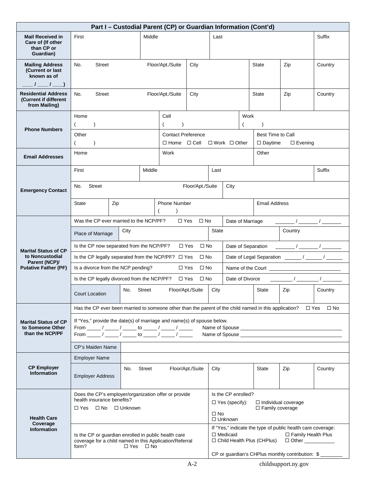| Part I - Custodial Parent (CP) or Guardian Information (Cont'd)         |                                                                                                                                                                                               |                                                                                                                 |                                                                    |                  |                                  |                                                                                                                                                               |                      |              |                                                                 |                                                                                                                                                                                                                                                                                                                     |           |  |
|-------------------------------------------------------------------------|-----------------------------------------------------------------------------------------------------------------------------------------------------------------------------------------------|-----------------------------------------------------------------------------------------------------------------|--------------------------------------------------------------------|------------------|----------------------------------|---------------------------------------------------------------------------------------------------------------------------------------------------------------|----------------------|--------------|-----------------------------------------------------------------|---------------------------------------------------------------------------------------------------------------------------------------------------------------------------------------------------------------------------------------------------------------------------------------------------------------------|-----------|--|
| <b>Mail Received in</b><br>Care of (If other<br>than CP or<br>Guardian) | First                                                                                                                                                                                         | Middle                                                                                                          |                                                                    |                  |                                  | Last                                                                                                                                                          |                      |              |                                                                 |                                                                                                                                                                                                                                                                                                                     | Suffix    |  |
| <b>Mailing Address</b><br>(Current or last<br>known as of<br>$I = I$    | <b>Street</b><br>No.                                                                                                                                                                          |                                                                                                                 | Floor/Apt./Suite                                                   | City             |                                  |                                                                                                                                                               |                      | <b>State</b> | Zip                                                             | Country                                                                                                                                                                                                                                                                                                             |           |  |
| <b>Residential Address</b><br>(Current if different<br>from Mailing)    | <b>Street</b><br>Floor/Apt./Suite<br>No.<br>City                                                                                                                                              |                                                                                                                 |                                                                    |                  |                                  |                                                                                                                                                               |                      |              | <b>State</b>                                                    | Zip                                                                                                                                                                                                                                                                                                                 | Country   |  |
| <b>Phone Numbers</b>                                                    | Home<br>Other<br>$\lambda$                                                                                                                                                                    |                                                                                                                 | Cell<br><b>Contact Preference</b><br>$\square$ Home $\square$ Cell |                  | Work<br>$\Box$ Work $\Box$ Other |                                                                                                                                                               |                      |              | <b>Best Time to Call</b><br>$\square$ Daytime<br>$\Box$ Evening |                                                                                                                                                                                                                                                                                                                     |           |  |
| <b>Email Addresses</b>                                                  | Home                                                                                                                                                                                          |                                                                                                                 |                                                                    | Work             |                                  |                                                                                                                                                               |                      |              | Other                                                           |                                                                                                                                                                                                                                                                                                                     |           |  |
|                                                                         | First                                                                                                                                                                                         | Middle                                                                                                          |                                                                    |                  |                                  | Last                                                                                                                                                          |                      |              |                                                                 |                                                                                                                                                                                                                                                                                                                     | Suffix    |  |
| <b>Emergency Contact</b>                                                | <b>Street</b><br>No.                                                                                                                                                                          |                                                                                                                 |                                                                    |                  | Floor/Apt./Suite                 |                                                                                                                                                               | City                 |              |                                                                 |                                                                                                                                                                                                                                                                                                                     |           |  |
|                                                                         | State                                                                                                                                                                                         | <b>Phone Number</b><br>Zip                                                                                      |                                                                    |                  |                                  |                                                                                                                                                               | <b>Email Address</b> |              |                                                                 |                                                                                                                                                                                                                                                                                                                     |           |  |
|                                                                         | Was the CP ever married to the NCP/PF?<br>$\Box$ Yes<br>$\Box$ No<br>Date of Marriage                                                                                                         |                                                                                                                 |                                                                    |                  |                                  |                                                                                                                                                               |                      |              |                                                                 |                                                                                                                                                                                                                                                                                                                     |           |  |
|                                                                         | Place of Marriage                                                                                                                                                                             | City                                                                                                            |                                                                    |                  |                                  | <b>State</b>                                                                                                                                                  |                      |              |                                                                 | Country                                                                                                                                                                                                                                                                                                             |           |  |
| <b>Marital Status of CP</b>                                             | Is the CP now separated from the NCP/PF?                                                                                                                                                      |                                                                                                                 |                                                                    | $\Box$ Yes       | $\Box$ No                        |                                                                                                                                                               | Date of Separation   |              |                                                                 |                                                                                                                                                                                                                                                                                                                     |           |  |
| to Noncustodial<br>Parent (NCP)/                                        | Is the CP legally separated from the NCP/PF? □ Yes                                                                                                                                            |                                                                                                                 |                                                                    |                  | $\Box$ No                        |                                                                                                                                                               |                      |              |                                                                 |                                                                                                                                                                                                                                                                                                                     |           |  |
| <b>Putative Father (PF)</b>                                             | Is a divorce from the NCP pending?                                                                                                                                                            |                                                                                                                 |                                                                    | $\square$ Yes    | $\square$ No                     |                                                                                                                                                               |                      |              |                                                                 | Name of the Court <b>Name of the Court</b>                                                                                                                                                                                                                                                                          |           |  |
|                                                                         | Is the CP legally divorced from the NCP/PF?                                                                                                                                                   |                                                                                                                 |                                                                    | $\Box$ Yes       | $\Box$ No                        |                                                                                                                                                               | Date of Divorce      |              |                                                                 | $\frac{1}{2}$ $\frac{1}{2}$ $\frac{1}{2}$ $\frac{1}{2}$ $\frac{1}{2}$ $\frac{1}{2}$ $\frac{1}{2}$ $\frac{1}{2}$ $\frac{1}{2}$ $\frac{1}{2}$ $\frac{1}{2}$ $\frac{1}{2}$ $\frac{1}{2}$ $\frac{1}{2}$ $\frac{1}{2}$ $\frac{1}{2}$ $\frac{1}{2}$ $\frac{1}{2}$ $\frac{1}{2}$ $\frac{1}{2}$ $\frac{1}{2}$ $\frac{1}{2}$ |           |  |
|                                                                         | Court Location                                                                                                                                                                                | <b>Street</b><br>No.                                                                                            |                                                                    | Floor/Apt./Suite |                                  | City                                                                                                                                                          |                      |              | State                                                           | Zip                                                                                                                                                                                                                                                                                                                 | Country   |  |
|                                                                         | Has the CP ever been married to someone other than the parent of the child named in this application?                                                                                         |                                                                                                                 |                                                                    |                  |                                  |                                                                                                                                                               |                      |              |                                                                 | $\Box$ Yes                                                                                                                                                                                                                                                                                                          | $\Box$ No |  |
| <b>Marital Status of CP</b><br>to Someone Other<br>than the NCP/PF      | If "Yes," provide the date(s) of marriage and name(s) of spouse below.<br>From _______/ ______/ _______ to ______/ ______/ ______<br>From ______ / _____ / ______ to ______ / ______ / ______ |                                                                                                                 |                                                                    |                  |                                  |                                                                                                                                                               |                      |              |                                                                 | Name of Spouse entrance and the state of Spouse and the state of Spouse and the state of the state of the state of the state of the state of the state of the state of the state of the state of the state of the state of the                                                                                      |           |  |
|                                                                         | CP's Maiden Name                                                                                                                                                                              |                                                                                                                 |                                                                    |                  |                                  |                                                                                                                                                               |                      |              |                                                                 |                                                                                                                                                                                                                                                                                                                     |           |  |
|                                                                         | <b>Employer Name</b>                                                                                                                                                                          |                                                                                                                 |                                                                    |                  |                                  |                                                                                                                                                               |                      |              |                                                                 |                                                                                                                                                                                                                                                                                                                     |           |  |
| <b>CP Employer</b><br><b>Information</b>                                | <b>Employer Address</b>                                                                                                                                                                       | Street<br>No.                                                                                                   |                                                                    |                  | Floor/Apt./Suite                 | City                                                                                                                                                          |                      |              | State                                                           | Zip                                                                                                                                                                                                                                                                                                                 | Country   |  |
|                                                                         | Does the CP's employer/organization offer or provide<br>health insurance benefits?<br>$\Box$ Yes $\Box$ No $\Box$ Unknown                                                                     |                                                                                                                 |                                                                    |                  |                                  | Is the CP enrolled?<br>$\Box$ Yes (specify):<br>$\Box$ Individual coverage<br>$\Box$ Family coverage<br>$\square$ No                                          |                      |              |                                                                 |                                                                                                                                                                                                                                                                                                                     |           |  |
| <b>Health Care</b><br>Coverage                                          |                                                                                                                                                                                               |                                                                                                                 |                                                                    |                  |                                  |                                                                                                                                                               | $\Box$ Unknown       |              |                                                                 |                                                                                                                                                                                                                                                                                                                     |           |  |
| <b>Information</b>                                                      |                                                                                                                                                                                               | Is the CP or guardian enrolled in public health care<br>coverage for a child named in this Application/Referral |                                                                    |                  |                                  | If "Yes," indicate the type of public health care coverage:<br>$\Box$ Medicaid<br>□ Family Health Plus<br>□ Child Health Plus (CHPlus)<br>□ Other ___________ |                      |              |                                                                 |                                                                                                                                                                                                                                                                                                                     |           |  |
|                                                                         | form?                                                                                                                                                                                         | $\Box$ Yes $\Box$ No                                                                                            |                                                                    |                  |                                  |                                                                                                                                                               |                      |              |                                                                 |                                                                                                                                                                                                                                                                                                                     |           |  |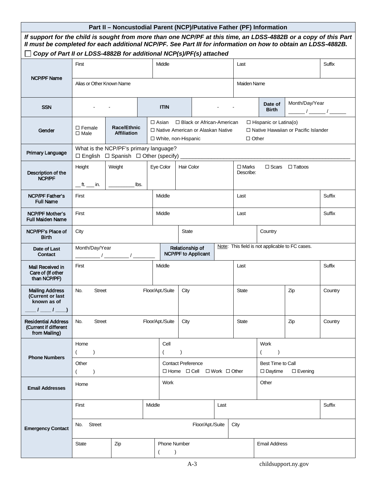<span id="page-10-0"></span>

| Part II - Noncustodial Parent (NCP)/Putative Father (PF) Information                                                                                                                                                                                                                                   |                                                                                                |                                          |              |                                                                                                                  |                 |                                                  |         |                                                                                       |                                                 |                |               |  |
|--------------------------------------------------------------------------------------------------------------------------------------------------------------------------------------------------------------------------------------------------------------------------------------------------------|------------------------------------------------------------------------------------------------|------------------------------------------|--------------|------------------------------------------------------------------------------------------------------------------|-----------------|--------------------------------------------------|---------|---------------------------------------------------------------------------------------|-------------------------------------------------|----------------|---------------|--|
| If support for the child is sought from more than one NCP/PF at this time, an LDSS-4882B or a copy of this Part<br>Il must be completed for each additional NCP/PF. See Part III for information on how to obtain an LDSS-4882B.<br>Copy of Part II or LDSS-4882B for additional NCP(s)/PF(s) attached |                                                                                                |                                          |              |                                                                                                                  |                 |                                                  |         |                                                                                       |                                                 |                |               |  |
|                                                                                                                                                                                                                                                                                                        | First                                                                                          |                                          |              | Middle                                                                                                           |                 |                                                  |         | Last                                                                                  |                                                 |                | <b>Suffix</b> |  |
| <b>NCP/PF Name</b>                                                                                                                                                                                                                                                                                     |                                                                                                |                                          |              |                                                                                                                  |                 |                                                  |         |                                                                                       |                                                 |                |               |  |
|                                                                                                                                                                                                                                                                                                        | Alias or Other Known Name<br><b>Maiden Name</b>                                                |                                          |              |                                                                                                                  |                 |                                                  |         |                                                                                       |                                                 |                |               |  |
| <b>SSN</b>                                                                                                                                                                                                                                                                                             |                                                                                                |                                          |              | <b>ITIN</b>                                                                                                      |                 |                                                  |         |                                                                                       | Date of<br><b>Birth</b>                         | Month/Day/Year |               |  |
| Gender                                                                                                                                                                                                                                                                                                 | $\Box$ Female<br>$\Box$ Male                                                                   | <b>Race/Ethnic</b><br><b>Affiliation</b> |              | □ Black or African-American<br>$\Box$ Asian<br>□ Native American or Alaskan Native<br>$\Box$ White, non-Hispanic |                 |                                                  |         | $\Box$ Hispanic or Latina(o)<br>□ Native Hawaiian or Pacific Islander<br>$\Box$ Other |                                                 |                |               |  |
| <b>Primary Language</b>                                                                                                                                                                                                                                                                                | What is the NCP/PF's primary language?<br>$\Box$ English $\Box$ Spanish $\Box$ Other (specify) |                                          |              |                                                                                                                  |                 |                                                  |         |                                                                                       |                                                 |                |               |  |
|                                                                                                                                                                                                                                                                                                        | Height                                                                                         | Weight                                   |              | Eye Color                                                                                                        | Hair Color      |                                                  |         | $\Box$ Marks<br>Describe:                                                             | $\Box$ Scars                                    | $\Box$ Tattoos |               |  |
| Description of the<br>NCP/PF                                                                                                                                                                                                                                                                           | $\_\,$ ft. $\_\,$ in.                                                                          |                                          | lbs.         |                                                                                                                  |                 |                                                  |         |                                                                                       |                                                 |                |               |  |
| <b>NCP/PF Father's</b><br><b>Full Name</b>                                                                                                                                                                                                                                                             | First                                                                                          |                                          |              | Middle                                                                                                           |                 |                                                  |         | Last                                                                                  |                                                 |                | Suffix        |  |
| <b>NCP/PF Mother's</b><br><b>Full Maiden Name</b>                                                                                                                                                                                                                                                      | First                                                                                          | Middle                                   |              |                                                                                                                  | Last            |                                                  |         |                                                                                       |                                                 |                |               |  |
| NCP/PF's Place of<br><b>Birth</b>                                                                                                                                                                                                                                                                      | City                                                                                           |                                          | <b>State</b> |                                                                                                                  |                 |                                                  | Country |                                                                                       |                                                 |                |               |  |
| Date of Last<br><b>Contact</b>                                                                                                                                                                                                                                                                         | Month/Day/Year                                                                                 |                                          |              |                                                                                                                  | Relationship of | <b>NCP/PF to Applicant</b>                       |         |                                                                                       | Note: This field is not applicable to FC cases. |                |               |  |
| Mail Received in<br>Care of (If other<br>than NCP/PF)                                                                                                                                                                                                                                                  | First                                                                                          |                                          |              | Middle                                                                                                           |                 |                                                  |         | Last                                                                                  |                                                 |                | Suffix        |  |
| <b>Mailing Address</b><br>(Current or last<br>known as of                                                                                                                                                                                                                                              | No.<br><b>Street</b>                                                                           |                                          |              | Floor/Apt./Suite                                                                                                 | City            |                                                  |         | <b>State</b><br>Zip                                                                   |                                                 |                | Country       |  |
| $\sqrt{1}$                                                                                                                                                                                                                                                                                             |                                                                                                |                                          |              |                                                                                                                  |                 |                                                  |         |                                                                                       |                                                 |                |               |  |
| <b>Residential Address</b><br>(Current if different<br>from Mailing)                                                                                                                                                                                                                                   | <b>Street</b><br>No.                                                                           |                                          |              | Floor/Apt./Suite                                                                                                 | City            |                                                  |         | <b>State</b>                                                                          |                                                 | Zip            | Country       |  |
|                                                                                                                                                                                                                                                                                                        | Home                                                                                           |                                          |              | Cell                                                                                                             |                 |                                                  |         |                                                                                       | <b>Work</b>                                     |                |               |  |
| <b>Phone Numbers</b>                                                                                                                                                                                                                                                                                   | $\overline{\phantom{a}}$                                                                       |                                          |              |                                                                                                                  | $\rightarrow$   |                                                  |         |                                                                                       | $\rightarrow$                                   |                |               |  |
|                                                                                                                                                                                                                                                                                                        | Other<br>$\lambda$                                                                             |                                          |              | <b>Contact Preference</b>                                                                                        |                 | $\Box$ Home $\Box$ Cell $\Box$ Work $\Box$ Other |         |                                                                                       | Best Time to Call<br>$\Box$ Daytime             | $\Box$ Evening |               |  |
| <b>Email Addresses</b>                                                                                                                                                                                                                                                                                 | Home                                                                                           |                                          |              | Work                                                                                                             |                 |                                                  |         |                                                                                       | Other                                           |                |               |  |
|                                                                                                                                                                                                                                                                                                        | First                                                                                          |                                          | Middle       |                                                                                                                  |                 |                                                  | Last    |                                                                                       |                                                 |                | Suffix        |  |
| <b>Emergency Contact</b>                                                                                                                                                                                                                                                                               | No. Street                                                                                     |                                          |              |                                                                                                                  |                 | Floor/Apt./Suite                                 |         | City                                                                                  |                                                 |                |               |  |
|                                                                                                                                                                                                                                                                                                        | <b>State</b>                                                                                   | Zip                                      |              | <b>Phone Number</b><br>$\overline{\phantom{a}}$                                                                  |                 |                                                  |         |                                                                                       |                                                 |                |               |  |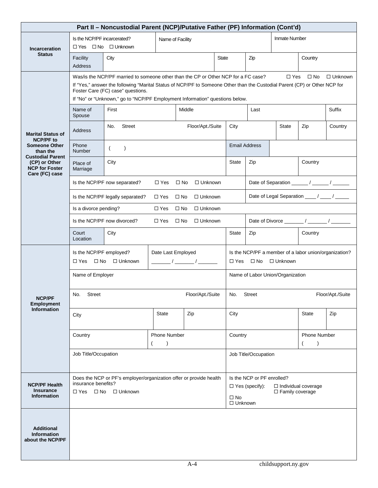| Part II - Noncustodial Parent (NCP)/Putative Father (PF) Information (Cont'd) |                                                                                                                                                                                                                                                                                                                                                                                      |                                                                   |                                  |                                |              |                                                                                                                                     |                                  |                |                                                       |         |
|-------------------------------------------------------------------------------|--------------------------------------------------------------------------------------------------------------------------------------------------------------------------------------------------------------------------------------------------------------------------------------------------------------------------------------------------------------------------------------|-------------------------------------------------------------------|----------------------------------|--------------------------------|--------------|-------------------------------------------------------------------------------------------------------------------------------------|----------------------------------|----------------|-------------------------------------------------------|---------|
| <b>Incarceration</b>                                                          | $\Box$ Yes                                                                                                                                                                                                                                                                                                                                                                           | Is the NCP/PF incarcerated?<br>Name of Facility<br>□ No □ Unknown |                                  |                                |              | <b>Inmate Number</b>                                                                                                                |                                  |                |                                                       |         |
| <b>Status</b>                                                                 | Facility<br>Address                                                                                                                                                                                                                                                                                                                                                                  | City                                                              |                                  |                                | <b>State</b> |                                                                                                                                     | Zip                              |                | Country                                               |         |
|                                                                               | Was/is the NCP/PF married to someone other than the CP or Other NCP for a FC case?<br>$\Box$ Unknown<br>$\Box$ Yes<br>$\square$ No<br>If "Yes," answer the following "Marital Status of NCP/PF to Someone Other than the Custodial Parent (CP) or Other NCP for<br>Foster Care (FC) case" questions.<br>If "No" or "Unknown," go to "NCP/PF Employment Information" questions below. |                                                                   |                                  |                                |              |                                                                                                                                     |                                  |                |                                                       |         |
|                                                                               | Name of<br>Spouse                                                                                                                                                                                                                                                                                                                                                                    | First                                                             |                                  | Middle                         |              |                                                                                                                                     | Last                             |                |                                                       | Suffix  |
| <b>Marital Status of</b><br><b>NCP/PF to</b>                                  | <b>Address</b>                                                                                                                                                                                                                                                                                                                                                                       | <b>Street</b><br>No.                                              |                                  | Floor/Apt./Suite               |              | City                                                                                                                                |                                  | State          | Zip                                                   | Country |
| <b>Someone Other</b><br>than the<br><b>Custodial Parent</b>                   | Phone<br>Number                                                                                                                                                                                                                                                                                                                                                                      | $\lambda$                                                         |                                  |                                |              |                                                                                                                                     | <b>Email Address</b>             |                |                                                       |         |
| (CP) or Other<br><b>NCP for Foster</b><br>Care (FC) case                      | Place of<br>Marriage                                                                                                                                                                                                                                                                                                                                                                 | City                                                              |                                  |                                |              | <b>State</b>                                                                                                                        | Zip                              |                | Country                                               |         |
|                                                                               |                                                                                                                                                                                                                                                                                                                                                                                      | Is the NCP/PF now separated?                                      | $\Box$ Yes                       | $\square$ No<br>$\Box$ Unknown |              |                                                                                                                                     |                                  |                |                                                       |         |
|                                                                               |                                                                                                                                                                                                                                                                                                                                                                                      | Is the NCP/PF legally separated?                                  | $\square$ Yes                    | $\square$ No<br>$\Box$ Unknown |              |                                                                                                                                     |                                  |                | Date of Legal Separation ____ / ____ / _____          |         |
|                                                                               | $\Box$ Yes<br>$\Box$ Unknown<br>Is a divorce pending?<br>$\square$ No                                                                                                                                                                                                                                                                                                                |                                                                   |                                  |                                |              |                                                                                                                                     |                                  |                |                                                       |         |
|                                                                               | Is the NCP/PF now divorced?<br>$\Box$ No<br>□ Unknown<br>$\Box$ Yes                                                                                                                                                                                                                                                                                                                  |                                                                   |                                  |                                |              |                                                                                                                                     |                                  |                |                                                       |         |
|                                                                               | <b>State</b><br>Country<br>Court<br>City<br>Zip<br>Location                                                                                                                                                                                                                                                                                                                          |                                                                   |                                  |                                |              |                                                                                                                                     |                                  |                |                                                       |         |
|                                                                               | Is the NCP/PF employed?<br>□ Yes                                                                                                                                                                                                                                                                                                                                                     | $\Box$ No $\Box$ Unknown                                          | Date Last Employed               |                                |              |                                                                                                                                     | $\Box$ Yes $\Box$ No             | $\Box$ Unknown | Is the NCP/PF a member of a labor union/organization? |         |
|                                                                               | Name of Employer                                                                                                                                                                                                                                                                                                                                                                     |                                                                   |                                  |                                |              |                                                                                                                                     | Name of Labor Union/Organization |                |                                                       |         |
| <b>NCP/PF</b><br><b>Employment</b>                                            | <b>Street</b><br>No.                                                                                                                                                                                                                                                                                                                                                                 |                                                                   |                                  | Floor/Apt./Suite               |              | <b>Street</b><br>Floor/Apt./Suite<br>No.                                                                                            |                                  |                |                                                       |         |
| <b>Information</b>                                                            | City                                                                                                                                                                                                                                                                                                                                                                                 |                                                                   | <b>State</b>                     | Zip                            |              |                                                                                                                                     | City                             |                |                                                       | Zip     |
|                                                                               | Country                                                                                                                                                                                                                                                                                                                                                                              |                                                                   | <b>Phone Number</b><br>$\lambda$ |                                |              | Country                                                                                                                             |                                  |                | <b>Phone Number</b><br>$\lambda$                      |         |
|                                                                               | Job Title/Occupation                                                                                                                                                                                                                                                                                                                                                                 |                                                                   |                                  |                                |              | Job Title/Occupation                                                                                                                |                                  |                |                                                       |         |
| <b>NCP/PF Health</b><br><b>Insurance</b><br><b>Information</b>                | Does the NCP or PF's employer/organization offer or provide health<br>insurance benefits?<br>□ Unknown<br>□ Yes<br>$\square$ No                                                                                                                                                                                                                                                      |                                                                   |                                  |                                |              | Is the NCP or PF enrolled?<br>$\Box$ Yes (specify):<br>$\Box$ Individual coverage<br>□ Family coverage<br>$\square$ No<br>□ Unknown |                                  |                |                                                       |         |
| <b>Additional</b><br><b>Information</b><br>about the NCP/PF                   |                                                                                                                                                                                                                                                                                                                                                                                      |                                                                   |                                  |                                |              |                                                                                                                                     |                                  |                |                                                       |         |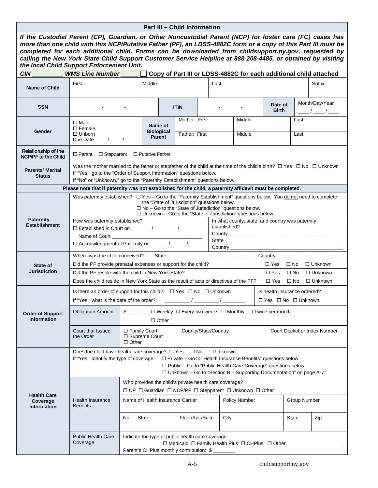#### **Part III – Child Information**

<span id="page-12-0"></span>

| If the Custodial Parent (CP), Guardian, or Other Noncustodial Parent (NCP) for foster care (FC) cases has<br>more than one child with this NCP/Putative Father (PF), an LDSS-4882C form or a copy of this Part III must be<br>completed for each additional child. Forms can be downloaded from childsupport.ny.gov, requested by<br>calling the New York State Child Support Customer Service Helpline at 888-208-4485, or obtained by visiting<br>the local Child Support Enforcement Unit. |                                                                                                                                                                                                                                                                                                                                                                                                                           |                                                                                                                                                       |                                               |                     |                                                                                                                                                              |                                |           |  |                      |  |                                                                     |                     |     |                                                                   |
|-----------------------------------------------------------------------------------------------------------------------------------------------------------------------------------------------------------------------------------------------------------------------------------------------------------------------------------------------------------------------------------------------------------------------------------------------------------------------------------------------|---------------------------------------------------------------------------------------------------------------------------------------------------------------------------------------------------------------------------------------------------------------------------------------------------------------------------------------------------------------------------------------------------------------------------|-------------------------------------------------------------------------------------------------------------------------------------------------------|-----------------------------------------------|---------------------|--------------------------------------------------------------------------------------------------------------------------------------------------------------|--------------------------------|-----------|--|----------------------|--|---------------------------------------------------------------------|---------------------|-----|-------------------------------------------------------------------|
| <b>CIN</b>                                                                                                                                                                                                                                                                                                                                                                                                                                                                                    | <b>WMS Line Number</b>                                                                                                                                                                                                                                                                                                                                                                                                    |                                                                                                                                                       |                                               |                     |                                                                                                                                                              |                                |           |  |                      |  |                                                                     |                     |     | Copy of Part III or LDSS-4882C for each additional child attached |
| <b>Name of Child</b>                                                                                                                                                                                                                                                                                                                                                                                                                                                                          | First                                                                                                                                                                                                                                                                                                                                                                                                                     |                                                                                                                                                       | Middle                                        |                     |                                                                                                                                                              |                                | Last      |  |                      |  |                                                                     |                     |     | Suffix                                                            |
| <b>SSN</b>                                                                                                                                                                                                                                                                                                                                                                                                                                                                                    |                                                                                                                                                                                                                                                                                                                                                                                                                           |                                                                                                                                                       |                                               |                     | <b>ITIN</b>                                                                                                                                                  |                                |           |  |                      |  | Date of<br><b>Birth</b>                                             |                     |     | Month/Day/Year<br>$\frac{\frac{1}{2}}{2}$                         |
| Gender                                                                                                                                                                                                                                                                                                                                                                                                                                                                                        | $\Box$ Male<br>$\Box$ Female<br>$\Box$ Unborn<br>Due Date $\frac{1}{\sqrt{2}}$ / $\frac{1}{\sqrt{2}}$                                                                                                                                                                                                                                                                                                                     |                                                                                                                                                       | Name of<br><b>Biological</b><br><b>Parent</b> |                     |                                                                                                                                                              | Mother: First<br>Father: First |           |  | Middle<br>Middle     |  |                                                                     | Last<br>Last        |     |                                                                   |
| Relationship of the<br><b>NCP/PF to the Child</b>                                                                                                                                                                                                                                                                                                                                                                                                                                             | $\Box$ Parent $\Box$ Stepparent $\Box$ Putative Father                                                                                                                                                                                                                                                                                                                                                                    |                                                                                                                                                       |                                               |                     |                                                                                                                                                              |                                |           |  |                      |  |                                                                     |                     |     |                                                                   |
| Was the mother married to the father or stepfather of the child at the time of the child's birth? $\Box$ Yes $\Box$ No $\Box$ Unknown<br><b>Parents' Marital</b><br>If "Yes," go to the "Order of Support Information" questions below.<br><b>Status</b><br>If "No" or "Unknown," go to the "Paternity Establishment" questions below.                                                                                                                                                        |                                                                                                                                                                                                                                                                                                                                                                                                                           |                                                                                                                                                       |                                               |                     |                                                                                                                                                              |                                |           |  |                      |  |                                                                     |                     |     |                                                                   |
|                                                                                                                                                                                                                                                                                                                                                                                                                                                                                               |                                                                                                                                                                                                                                                                                                                                                                                                                           |                                                                                                                                                       |                                               |                     |                                                                                                                                                              |                                |           |  |                      |  |                                                                     |                     |     |                                                                   |
|                                                                                                                                                                                                                                                                                                                                                                                                                                                                                               | Please note that if paternity was not established for the child, a paternity affidavit must be completed.<br>Was paternity established? □ Yes - Go to the "Paternity Establishment" questions below. You do not need to complete<br>the "State of Jurisdiction" questions below.<br>$\Box$ No - Go to the "State of Jurisdiction" questions below.<br>$\Box$ Unknown - Go to the "State of Jurisdiction" questions below. |                                                                                                                                                       |                                               |                     |                                                                                                                                                              |                                |           |  |                      |  |                                                                     |                     |     |                                                                   |
| <b>Paternity</b><br><b>Establishment</b>                                                                                                                                                                                                                                                                                                                                                                                                                                                      |                                                                                                                                                                                                                                                                                                                                                                                                                           | How was paternity established?<br>In what county, state, and country was paternity<br>established?<br>□ Acknowledgment of Paternity on ______/ _____/ |                                               |                     |                                                                                                                                                              |                                |           |  |                      |  |                                                                     |                     |     |                                                                   |
|                                                                                                                                                                                                                                                                                                                                                                                                                                                                                               |                                                                                                                                                                                                                                                                                                                                                                                                                           |                                                                                                                                                       |                                               |                     |                                                                                                                                                              |                                |           |  |                      |  |                                                                     |                     |     |                                                                   |
|                                                                                                                                                                                                                                                                                                                                                                                                                                                                                               | Where was the child conceived?                                                                                                                                                                                                                                                                                                                                                                                            |                                                                                                                                                       |                                               |                     |                                                                                                                                                              |                                |           |  |                      |  | Country _____                                                       |                     |     |                                                                   |
| State of                                                                                                                                                                                                                                                                                                                                                                                                                                                                                      | Did the PF provide prenatal expenses or support for the child?                                                                                                                                                                                                                                                                                                                                                            |                                                                                                                                                       |                                               |                     |                                                                                                                                                              |                                |           |  |                      |  | $\Box$ Yes $\Box$ No                                                |                     |     | $\Box$ Unknown                                                    |
| <b>Jurisdiction</b>                                                                                                                                                                                                                                                                                                                                                                                                                                                                           | Did the PF reside with the child in New York State?                                                                                                                                                                                                                                                                                                                                                                       |                                                                                                                                                       |                                               |                     |                                                                                                                                                              |                                |           |  |                      |  | $\Box$ Yes                                                          | $\square$ No        |     | $\Box$ Unknown                                                    |
|                                                                                                                                                                                                                                                                                                                                                                                                                                                                                               | Does the child reside in New York State as the result of acts or directives of the PF?                                                                                                                                                                                                                                                                                                                                    |                                                                                                                                                       |                                               |                     |                                                                                                                                                              |                                |           |  |                      |  | □ Yes □ No                                                          |                     |     | $\Box$ Unknown                                                    |
|                                                                                                                                                                                                                                                                                                                                                                                                                                                                                               | Is there an order of support for this child? $\Box$ Yes $\Box$ No $\Box$ Unknown<br>If "Yes," what is the date of the order?                                                                                                                                                                                                                                                                                              |                                                                                                                                                       |                                               |                     |                                                                                                                                                              |                                |           |  |                      |  | Is health insurance ordered?<br>$\Box$ Yes $\Box$ No $\Box$ Unknown |                     |     |                                                                   |
| <b>Order of Support</b><br><b>Information</b>                                                                                                                                                                                                                                                                                                                                                                                                                                                 | <b>Obligation Amount</b>                                                                                                                                                                                                                                                                                                                                                                                                  | $\frac{1}{2}$                                                                                                                                         |                                               | $\Box$ Other $\Box$ | □ Weekly □ Every two weeks □ Monthly □ Twice per month                                                                                                       |                                |           |  |                      |  |                                                                     |                     |     |                                                                   |
|                                                                                                                                                                                                                                                                                                                                                                                                                                                                                               | Court that Issued<br>the Order                                                                                                                                                                                                                                                                                                                                                                                            | $\Box$ Family Court<br>□ Supreme Court<br>$\Box$ Other                                                                                                |                                               |                     | County/State/Country                                                                                                                                         |                                |           |  |                      |  |                                                                     |                     |     | Court Docket or Index Number                                      |
|                                                                                                                                                                                                                                                                                                                                                                                                                                                                                               | Does the child have health care coverage? $\Box$ Yes<br>If "Yes," identify the type of coverage: $\square$ Private – Go to "Health Insurance Benefits" questions below.                                                                                                                                                                                                                                                   |                                                                                                                                                       |                                               |                     | $\Box$ Public - Go to "Public Health Care Coverage" questions below.<br>$\Box$ Unknown – Go to "Section B – Supporting Documentation" on page A-7.           | $\Box$ No                      | □ Unknown |  |                      |  |                                                                     |                     |     |                                                                   |
|                                                                                                                                                                                                                                                                                                                                                                                                                                                                                               |                                                                                                                                                                                                                                                                                                                                                                                                                           |                                                                                                                                                       |                                               |                     | Who provides the child's private health care coverage?<br>$\Box$ CP $\Box$ Guardian $\Box$ NCP/PF $\Box$ Stepparent $\Box$ Unknown $\Box$ Other $\Box$       |                                |           |  |                      |  |                                                                     |                     |     |                                                                   |
| <b>Health Care</b><br>Coverage<br><b>Information</b>                                                                                                                                                                                                                                                                                                                                                                                                                                          | <b>Health Insurance</b><br><b>Benefits</b>                                                                                                                                                                                                                                                                                                                                                                                |                                                                                                                                                       |                                               |                     | Name of Health Insurance Carrier                                                                                                                             |                                |           |  | <b>Policy Number</b> |  |                                                                     | <b>Group Number</b> |     |                                                                   |
|                                                                                                                                                                                                                                                                                                                                                                                                                                                                                               |                                                                                                                                                                                                                                                                                                                                                                                                                           | No.                                                                                                                                                   | City<br>Floor/Apt./Suite<br>Street            |                     |                                                                                                                                                              |                                |           |  |                      |  | State                                                               |                     | Zip |                                                                   |
|                                                                                                                                                                                                                                                                                                                                                                                                                                                                                               | <b>Public Health Care</b><br>Coverage                                                                                                                                                                                                                                                                                                                                                                                     |                                                                                                                                                       |                                               |                     | Indicate the type of public health care coverage:<br>□ Medicaid □ Family Health Plus □ CHPlus □ Other __________<br>Parent's CHPlus monthly contribution: \$ |                                |           |  |                      |  |                                                                     |                     |     |                                                                   |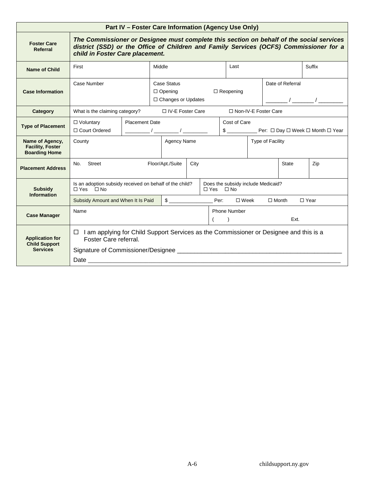<span id="page-13-0"></span>

| Part IV - Foster Care Information (Agency Use Only)                |                                                                                                                                                                                                                       |                                                                                                                                                                                |  |                    |      |                      |                                    |                                                                                                                                                                                                                                                                                                                     |  |              |                                                      |
|--------------------------------------------------------------------|-----------------------------------------------------------------------------------------------------------------------------------------------------------------------------------------------------------------------|--------------------------------------------------------------------------------------------------------------------------------------------------------------------------------|--|--------------------|------|----------------------|------------------------------------|---------------------------------------------------------------------------------------------------------------------------------------------------------------------------------------------------------------------------------------------------------------------------------------------------------------------|--|--------------|------------------------------------------------------|
| <b>Foster Care</b><br>Referral                                     | The Commissioner or Designee must complete this section on behalf of the social services<br>district (SSD) or the Office of Children and Family Services (OCFS) Commissioner for a<br>child in Foster Care placement. |                                                                                                                                                                                |  |                    |      |                      |                                    |                                                                                                                                                                                                                                                                                                                     |  |              |                                                      |
| <b>Name of Child</b>                                               | First                                                                                                                                                                                                                 |                                                                                                                                                                                |  | Middle             |      |                      | Last                               |                                                                                                                                                                                                                                                                                                                     |  | Suffix       |                                                      |
| <b>Case Information</b>                                            | Case Number<br>Case Status<br>$\Box$ Opening<br>□ Changes or Updates                                                                                                                                                  |                                                                                                                                                                                |  |                    |      | $\Box$ Reopening     | Date of Referral                   | $\frac{1}{2}$ $\frac{1}{2}$ $\frac{1}{2}$ $\frac{1}{2}$ $\frac{1}{2}$ $\frac{1}{2}$ $\frac{1}{2}$ $\frac{1}{2}$ $\frac{1}{2}$ $\frac{1}{2}$ $\frac{1}{2}$ $\frac{1}{2}$ $\frac{1}{2}$ $\frac{1}{2}$ $\frac{1}{2}$ $\frac{1}{2}$ $\frac{1}{2}$ $\frac{1}{2}$ $\frac{1}{2}$ $\frac{1}{2}$ $\frac{1}{2}$ $\frac{1}{2}$ |  |              |                                                      |
| Category                                                           | □ IV-E Foster Care<br>□ Non-IV-E Foster Care<br>What is the claiming category?                                                                                                                                        |                                                                                                                                                                                |  |                    |      |                      |                                    |                                                                                                                                                                                                                                                                                                                     |  |              |                                                      |
| <b>Type of Placement</b>                                           | □ Voluntary<br>□ Court Ordered                                                                                                                                                                                        | <b>Placement Date</b><br>$\frac{1}{\sqrt{1-\frac{1}{2}}}\int \frac{1}{\sqrt{1-\frac{1}{2}}\left(1-\frac{1}{2}\right)}\frac{1}{\sqrt{1-\frac{1}{2}}\left(1-\frac{1}{2}\right)}$ |  |                    |      |                      | Cost of Care                       |                                                                                                                                                                                                                                                                                                                     |  |              | \$ ________________ Per: □ Day □ Week □ Month □ Year |
| Name of Agency,<br><b>Facility, Foster</b><br><b>Boarding Home</b> | County<br>Agency Name                                                                                                                                                                                                 |                                                                                                                                                                                |  |                    |      | Type of Facility     |                                    |                                                                                                                                                                                                                                                                                                                     |  |              |                                                      |
| <b>Placement Address</b>                                           | No. Street                                                                                                                                                                                                            |                                                                                                                                                                                |  | Floor/Apt./Suite   | City |                      |                                    |                                                                                                                                                                                                                                                                                                                     |  | State        | Zip                                                  |
| <b>Subsidy</b><br><b>Information</b>                               | Is an adoption subsidy received on behalf of the child?<br>$\Box$ Yes $\Box$ No                                                                                                                                       |                                                                                                                                                                                |  |                    |      | $\Box$ Yes $\Box$ No | Does the subsidy include Medicaid? |                                                                                                                                                                                                                                                                                                                     |  |              |                                                      |
|                                                                    | Subsidy Amount and When It Is Paid                                                                                                                                                                                    |                                                                                                                                                                                |  | $\frac{1}{2}$ Per: |      |                      |                                    | $\square$ Week                                                                                                                                                                                                                                                                                                      |  | $\Box$ Month | $\Box$ Year                                          |
| <b>Case Manager</b>                                                | Name<br><b>Phone Number</b><br>Ext.<br>$\left( \begin{array}{c} \end{array} \right)$                                                                                                                                  |                                                                                                                                                                                |  |                    |      |                      |                                    |                                                                                                                                                                                                                                                                                                                     |  |              |                                                      |
| <b>Application for</b><br><b>Child Support</b><br><b>Services</b>  | $\Box$ I am applying for Child Support Services as the Commissioner or Designee and this is a<br>Foster Care referral.                                                                                                |                                                                                                                                                                                |  |                    |      |                      |                                    |                                                                                                                                                                                                                                                                                                                     |  |              |                                                      |
|                                                                    |                                                                                                                                                                                                                       |                                                                                                                                                                                |  |                    |      |                      |                                    |                                                                                                                                                                                                                                                                                                                     |  |              |                                                      |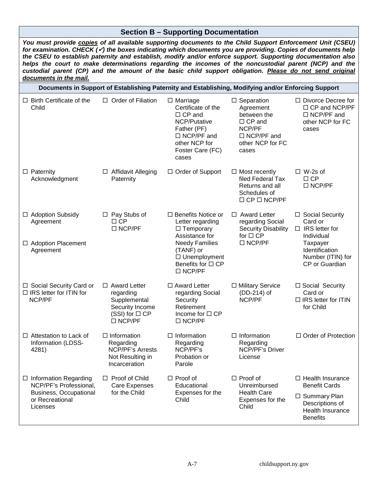#### **Section B – Supporting Documentation**

<span id="page-14-0"></span>*You must provide copies of all available supporting documents to the Child Support Enforcement Unit (CSEU) for examination. CHECK () the boxes indicating which documents you are providing. Copies of documents help the CSEU to establish paternity and establish, modify and/or enforce support. Supporting documentation also helps the court to make determinations regarding the incomes of the noncustodial parent (NCP) and the custodial parent (CP) and the amount of the basic child support obligation. Please do not send original documents in the mail.*

|                                                                                                                 | Documents in Support of Establishing Paternity and Establishing, Modifying and/or Enforcing Support         |                                                                                                                                                                       |                                                                                                                            |                                                                                                                                          |  |
|-----------------------------------------------------------------------------------------------------------------|-------------------------------------------------------------------------------------------------------------|-----------------------------------------------------------------------------------------------------------------------------------------------------------------------|----------------------------------------------------------------------------------------------------------------------------|------------------------------------------------------------------------------------------------------------------------------------------|--|
| $\Box$ Birth Certificate of the<br>Child                                                                        | $\Box$ Order of Filiation                                                                                   | $\Box$ Marriage<br>Certificate of the<br>$\Box$ CP and<br>NCP/Putative<br>Father (PF)<br>$\Box$ NCP/PF and<br>other NCP for<br>Foster Care (FC)<br>cases              | $\Box$ Separation<br>Agreement<br>between the<br>$\Box$ CP and<br>NCP/PF<br>$\Box$ NCP/PF and<br>other NCP for FC<br>cases | $\Box$ Divorce Decree for<br>$\Box$ CP and NCP/PF<br>□ NCP/PF and<br>other NCP for FC<br>cases                                           |  |
| $\Box$ Paternity<br>Acknowledgment                                                                              | $\Box$ Affidavit Alleging<br>Paternity                                                                      | □ Order of Support                                                                                                                                                    | $\Box$ Most recently<br>filed Federal Tax<br>Returns and all<br>Schedules of<br>$\Box$ CP $\Box$ NCP/PF                    | $\Box$ W-2s of<br>$\Box$ CP<br>$\Box$ NCP/PF                                                                                             |  |
| □ Adoption Subsidy<br>Agreement<br>□ Adoption Placement<br>Agreement                                            | $\Box$ Pay Stubs of<br>$\Box$ CP<br>$\Box$ NCP/PF                                                           | $\Box$ Benefits Notice or<br>Letter regarding<br>$\Box$ Temporary<br>Assistance for<br><b>Needy Families</b><br>(TANF) or<br>$\Box$ Unemployment<br>Benefits for □ CP | $\Box$ Award Letter<br>regarding Social<br><b>Security Disability</b><br>for $\Box$ CP<br>$\Box$ NCP/PF                    | □ Social Security<br>Card or<br>$\Box$ IRS letter for<br>Individual<br>Taxpayer<br>Identification<br>Number (ITIN) for<br>CP or Guardian |  |
|                                                                                                                 |                                                                                                             | $\Box$ NCP/PF                                                                                                                                                         |                                                                                                                            |                                                                                                                                          |  |
| □ Social Security Card or<br>$\Box$ IRS letter for ITIN for<br>NCP/PF                                           | $\Box$ Award Letter<br>regarding<br>Supplemental<br>Security Income<br>(SSI) for $\Box$ CP<br>$\Box$ NCP/PF | □ Award Letter<br>regarding Social<br>Security<br>Retirement<br>Income for $\Box$ CP<br>$\Box$ NCP/PF                                                                 | □ Military Service<br>(DD-214) of<br>NCP/PF                                                                                | □ Social Security<br>Card or<br>$\Box$ IRS letter for ITIN<br>for Child                                                                  |  |
| $\Box$ Attestation to Lack of<br>Information (LDSS-<br>4281)                                                    | $\Box$ Information<br>Regarding<br><b>NCP/PF's Arrests</b><br>Not Resulting in<br>Incarceration             | $\Box$ Information<br>Regarding<br>NCP/PF's<br>Probation or<br>Parole                                                                                                 | $\Box$ Information<br>Regarding<br>NCP/PF's Driver<br>License                                                              | $\Box$ Order of Protection                                                                                                               |  |
| $\Box$ Information Regarding<br>NCP/PF's Professional,<br>Business, Occupational<br>or Recreational<br>Licenses | $\Box$ Proof of Child<br>Care Expenses<br>for the Child                                                     | $\Box$ Proof of<br>Educational<br>Expenses for the<br>Child                                                                                                           | $\Box$ Proof of<br>Unreimbursed<br><b>Health Care</b><br>Expenses for the<br>Child                                         | $\Box$ Health Insurance<br><b>Benefit Cards</b><br>□ Summary Plan<br>Descriptions of<br>Health Insurance<br><b>Benefits</b>              |  |